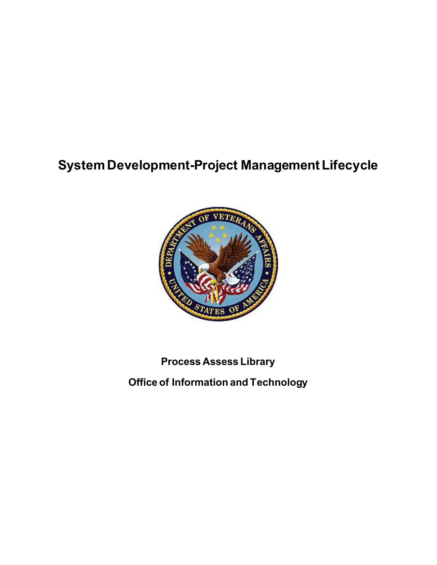# **System Development-Project Management Lifecycle**



### **Process Assess Library**

**Office of Information and Technology**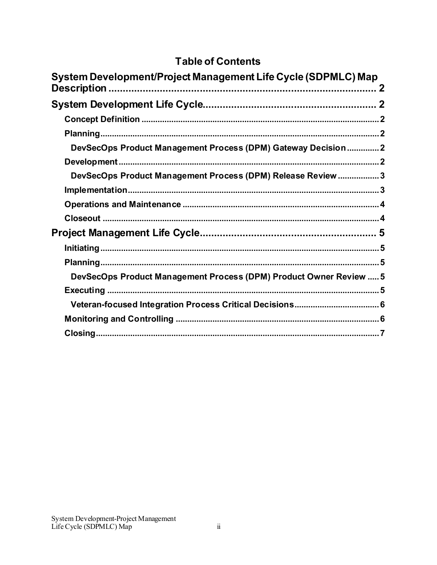### **Table of Contents**

| System Development/Project Management Life Cycle (SDPMLC) Map      |
|--------------------------------------------------------------------|
|                                                                    |
|                                                                    |
|                                                                    |
|                                                                    |
| DevSecOps Product Management Process (DPM) Gateway Decision 2      |
|                                                                    |
| DevSecOps Product Management Process (DPM) Release Review  3       |
|                                                                    |
|                                                                    |
|                                                                    |
|                                                                    |
|                                                                    |
|                                                                    |
| DevSecOps Product Management Process (DPM) Product Owner Review  5 |
|                                                                    |
|                                                                    |
|                                                                    |
|                                                                    |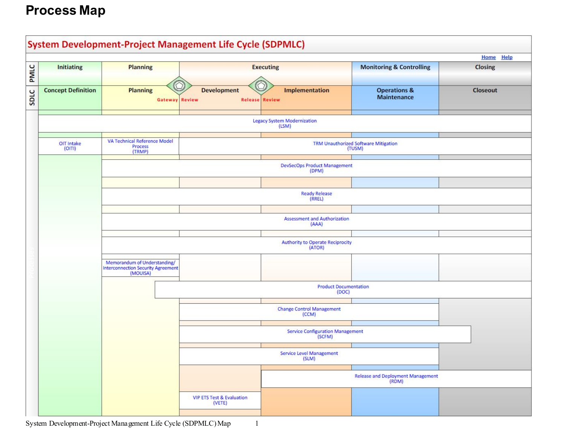# **Process Map**



System Development-Project Management Life Cycle (SDPMLC) Map 1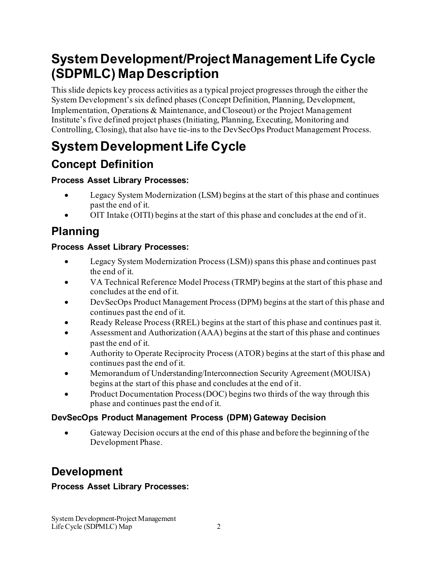# <span id="page-3-0"></span>**System Development/Project Management Life Cycle (SDPMLC) Map Description**

This slide depicts key process activities as a typical project progresses through the either the System Development's six defined phases (Concept Definition, Planning, Development, Implementation, Operations & Maintenance, and Closeout) or the Project Management Institute's five defined project phases (Initiating, Planning, Executing, Monitoring and Controlling, Closing), that also have tie-ins to the DevSecOps Product Management Process.

# <span id="page-3-1"></span>**System Development Life Cycle**

### <span id="page-3-2"></span>**Concept Definition**

### **Process Asset Library Processes:**

- · Legacy System Modernization (LSM) begins at the start of this phase and continues past the end of it.
- · OIT Intake (OITI) begins at the start of this phase and concludes at the end of it.

# <span id="page-3-3"></span>**Planning**

### **Process Asset Library Processes:**

- · Legacy System Modernization Process (LSM)) spans this phase and continues past the end of it.
- · VA Technical Reference Model Process (TRMP) begins at the start of this phase and concludes at the end of it.
- DevSecOps Product Management Process (DPM) begins at the start of this phase and continues past the end of it.
- Ready Release Process (RREL) begins at the start of this phase and continues past it.
- · Assessment and Authorization (AAA) begins at the start of this phase and continues past the end of it.
- · Authority to Operate Reciprocity Process (ATOR) begins at the start of this phase and continues past the end of it.
- · Memorandum of Understanding/Interconnection Security Agreement (MOUISA) begins at the start of this phase and concludes at the end of it.
- Product Documentation Process (DOC) begins two thirds of the way through this phase and continues past the end of it.

### <span id="page-3-4"></span>**DevSecOps Product Management Process (DPM) Gateway Decision**

Gateway Decision occurs at the end of this phase and before the beginning of the Development Phase.

## <span id="page-3-5"></span>**Development**

### **Process Asset Library Processes:**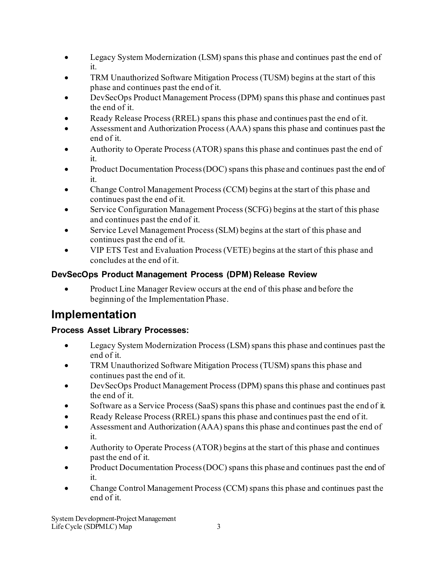- · Legacy System Modernization (LSM) spans this phase and continues past the end of it.
- TRM Unauthorized Software Mitigation Process (TUSM) begins at the start of this phase and continues past the end of it.
- DevSecOps Product Management Process (DPM) spans this phase and continues past the end of it.
- Ready Release Process (RREL) spans this phase and continues past the end of it.
- Assessment and Authorization Process (AAA) spans this phase and continues past the end of it.
- Authority to Operate Process (ATOR) spans this phase and continues past the end of it.
- Product Documentation Process (DOC) spans this phase and continues past the end of it.
- · Change Control Management Process (CCM) begins at the start of this phase and continues past the end of it.
- Service Configuration Management Process (SCFG) begins at the start of this phase and continues past the end of it.
- Service Level Management Process (SLM) begins at the start of this phase and continues past the end of it.
- · VIP ETS Test and Evaluation Process (VETE) begins at the start of this phase and concludes at the end of it.

### <span id="page-4-0"></span>**DevSecOps Product Management Process (DPM) Release Review**

• Product Line Manager Review occurs at the end of this phase and before the beginning of the Implementation Phase.

### <span id="page-4-1"></span>**Implementation**

### **Process Asset Library Processes:**

- · Legacy System Modernization Process (LSM) spans this phase and continues past the end of it.
- · TRM Unauthorized Software Mitigation Process (TUSM) spans this phase and continues past the end of it.
- · DevSecOps Product Management Process (DPM) spans this phase and continues past the end of it.
- Software as a Service Process (SaaS) spans this phase and continues past the end of it.
- Ready Release Process (RREL) spans this phase and continues past the end of it.
- Assessment and Authorization (AAA) spans this phase and continues past the end of it.
- Authority to Operate Process (ATOR) begins at the start of this phase and continues past the end of it.
- Product Documentation Process (DOC) spans this phase and continues past the end of it.
- · Change Control Management Process (CCM) spans this phase and continues past the end of it.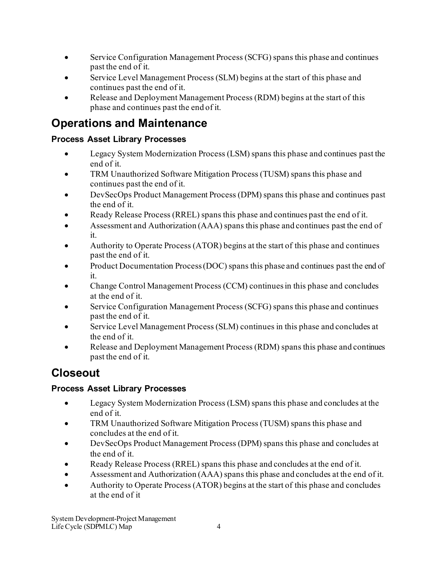- · Service Configuration Management Process (SCFG) spans this phase and continues past the end of it.
- Service Level Management Process (SLM) begins at the start of this phase and continues past the end of it.
- Release and Deployment Management Process (RDM) begins at the start of this phase and continues past the end of it.

### <span id="page-5-0"></span>**Operations and Maintenance**

### **Process Asset Library Processes**

- · Legacy System Modernization Process (LSM) spans this phase and continues past the end of it.
- TRM Unauthorized Software Mitigation Process (TUSM) spans this phase and continues past the end of it.
- · DevSecOps Product Management Process (DPM) spans this phase and continues past the end of it.
- Ready Release Process (RREL) spans this phase and continues past the end of it.
- · Assessment and Authorization (AAA) spans this phase and continues past the end of it.
- Authority to Operate Process (ATOR) begins at the start of this phase and continues past the end of it.
- Product Documentation Process (DOC) spans this phase and continues past the end of it.
- · Change Control Management Process (CCM) continues in this phase and concludes at the end of it.
- Service Configuration Management Process (SCFG) spans this phase and continues past the end of it.
- Service Level Management Process (SLM) continues in this phase and concludes at the end of it.
- Release and Deployment Management Process (RDM) spans this phase and continues past the end of it.

### <span id="page-5-1"></span>**Closeout**

### **Process Asset Library Processes**

- · Legacy System Modernization Process (LSM) spans this phase and concludes at the end of it.
- TRM Unauthorized Software Mitigation Process (TUSM) spans this phase and concludes at the end of it.
- · DevSecOps Product Management Process (DPM) spans this phase and concludes at the end of it.
- Ready Release Process (RREL) spans this phase and concludes at the end of it.
- · Assessment and Authorization (AAA) spans this phase and concludes at the end of it.
- · Authority to Operate Process (ATOR) begins at the start of this phase and concludes at the end of it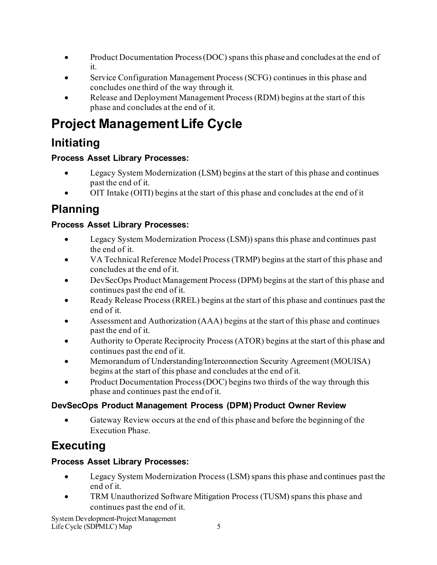- Product Documentation Process (DOC) spans this phase and concludes at the end of it.
- Service Configuration Management Process (SCFG) continues in this phase and concludes one third of the way through it.
- Release and Deployment Management Process (RDM) begins at the start of this phase and concludes at the end of it.

# <span id="page-6-0"></span>**Project Management Life Cycle**

### <span id="page-6-1"></span>**Initiating**

### **Process Asset Library Processes:**

- · Legacy System Modernization (LSM) begins at the start of this phase and continues past the end of it.
- · OIT Intake (OITI) begins at the start of this phase and concludes at the end of it

### <span id="page-6-2"></span>**Planning**

### **Process Asset Library Processes:**

- · Legacy System Modernization Process (LSM)) spans this phase and continues past the end of it.
- · VA Technical Reference Model Process (TRMP) begins at the start of this phase and concludes at the end of it.
- DevSecOps Product Management Process (DPM) begins at the start of this phase and continues past the end of it.
- Ready Release Process (RREL) begins at the start of this phase and continues past the end of it.
- Assessment and Authorization (AAA) begins at the start of this phase and continues past the end of it.
- Authority to Operate Reciprocity Process (ATOR) begins at the start of this phase and continues past the end of it.
- · Memorandum of Understanding/Interconnection Security Agreement (MOUISA) begins at the start of this phase and concludes at the end of it.
- Product Documentation Process (DOC) begins two thirds of the way through this phase and continues past the end of it.

### <span id="page-6-3"></span>**DevSecOps Product Management Process (DPM) Product Owner Review**

· Gateway Review occurs at the end of this phase and before the beginning of the Execution Phase.

### <span id="page-6-4"></span>**Executing**

### **Process Asset Library Processes:**

- Legacy System Modernization Process (LSM) spans this phase and continues past the end of it.
- TRM Unauthorized Software Mitigation Process (TUSM) spans this phase and continues past the end of it.

System Development-Project Management Life Cycle (SDPMLC) Map 5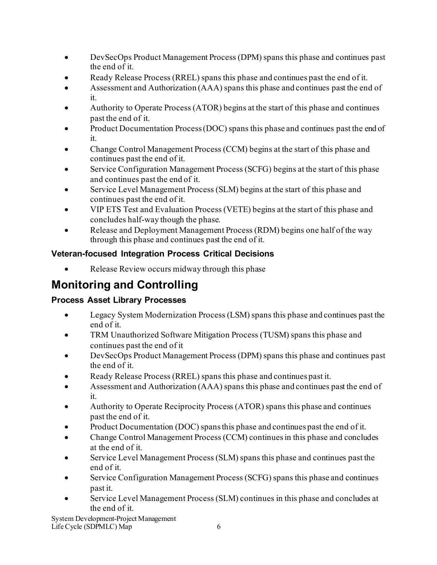- · DevSecOps Product Management Process (DPM) spans this phase and continues past the end of it.
- Ready Release Process (RREL) spans this phase and continues past the end of it.
- · Assessment and Authorization (AAA) spans this phase and continues past the end of it.
- Authority to Operate Process (ATOR) begins at the start of this phase and continues past the end of it.
- Product Documentation Process (DOC) spans this phase and continues past the end of it.
- Change Control Management Process (CCM) begins at the start of this phase and continues past the end of it.
- Service Configuration Management Process (SCFG) begins at the start of this phase and continues past the end of it.
- Service Level Management Process (SLM) begins at the start of this phase and continues past the end of it.
- · VIP ETS Test and Evaluation Process (VETE) begins at the start of this phase and concludes half-way though the phase.
- Release and Deployment Management Process (RDM) begins one half of the way through this phase and continues past the end of it.

### <span id="page-7-0"></span>**Veteran-focused Integration Process Critical Decisions**

Release Review occurs midway through this phase

### <span id="page-7-1"></span>**Monitoring and Controlling**

### **Process Asset Library Processes**

- · Legacy System Modernization Process (LSM) spans this phase and continues past the end of it.
- TRM Unauthorized Software Mitigation Process (TUSM) spans this phase and continues past the end of it
- DevSecOps Product Management Process (DPM) spans this phase and continues past the end of it.
- Ready Release Process (RREL) spans this phase and continues past it.
- Assessment and Authorization (AAA) spans this phase and continues past the end of it.
- Authority to Operate Reciprocity Process (ATOR) spans this phase and continues past the end of it.
- Product Documentation (DOC) spans this phase and continues past the end of it.
- · Change Control Management Process (CCM) continues in this phase and concludes at the end of it.
- Service Level Management Process (SLM) spans this phase and continues past the end of it.
- Service Configuration Management Process (SCFG) spans this phase and continues past it.
- · Service Level Management Process (SLM) continues in this phase and concludes at the end of it.

System Development-Project Management Life Cycle (SDPMLC) Map 6